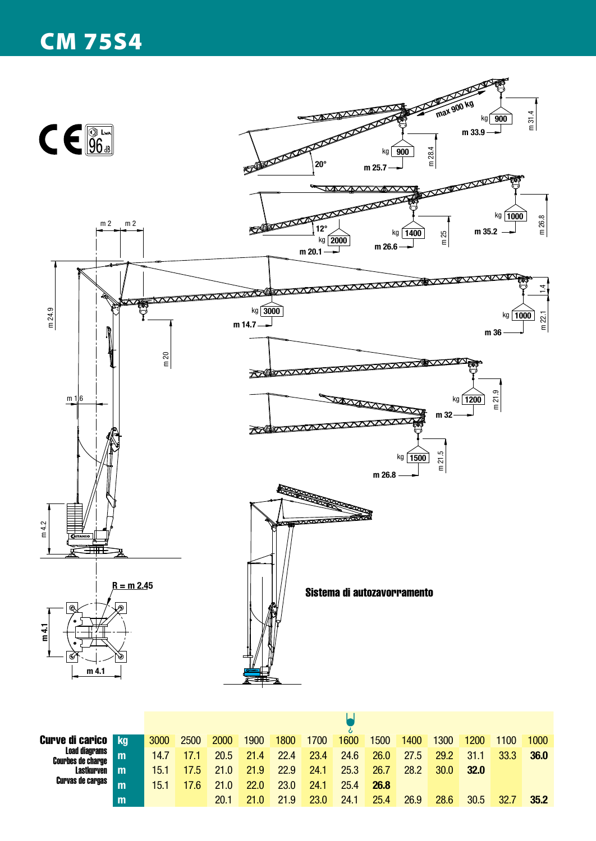## CM 75S4



**Lastkurven** Curvas de cargas

**m** 15.1 17.6 21.0 22.0 23.0 24.1 25.4 **26.8**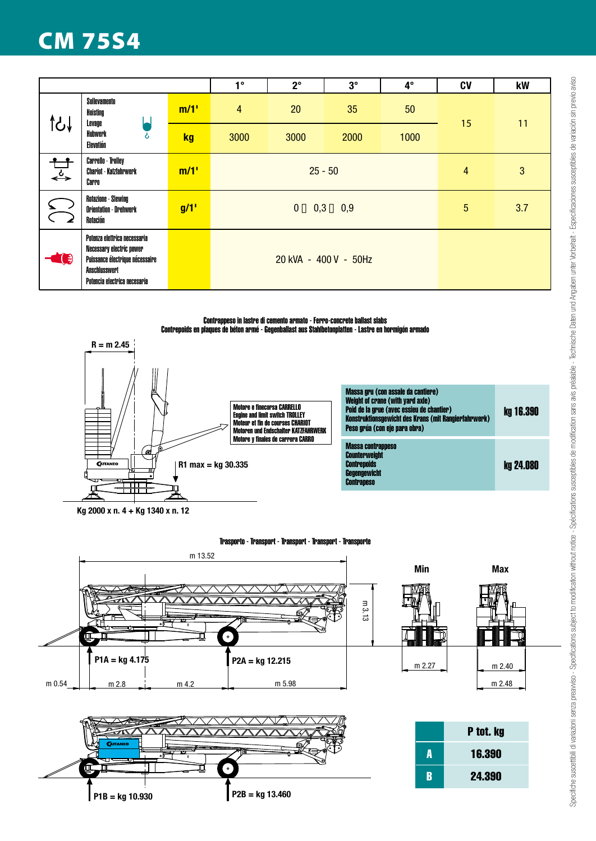# CM 75S4

|      |                                                                                                                                                     |      | $1^{\circ}$                         | $2^{\circ}$ | $3^\circ$ | $4^\circ$ | <b>CV</b> | kW  |
|------|-----------------------------------------------------------------------------------------------------------------------------------------------------|------|-------------------------------------|-------------|-----------|-----------|-----------|-----|
|      | Sollevamento<br>Hoisting<br>Levage<br>Hubwerk<br>ሪ<br>Elevatión                                                                                     | m/1' | 4                                   | 20          | 35        | 50        | 15        | 11  |
|      |                                                                                                                                                     | kg   | 3000                                | 3000        | 2000      | 1000      |           |     |
| √یہ  | <b>Carrello - Trolley</b><br><b>Chariot - Katzfahrwerk</b><br>Carro                                                                                 | m/1' | $25 - 50$                           |             |           |           | 4         | 3   |
|      | Rotazione - Slewing<br><b>Orientation - Drehwerk</b><br>Rotación                                                                                    | g/1' | $0 \rightarrow 0.3 \rightarrow 0.9$ |             |           |           | 5         | 3.7 |
| ( €) | Potenza elettrica necessaria<br>Necessary electric power<br>Puissance électrique nécessaire<br><b>Anschlusswert</b><br>Potencia electrica necesaria |      | 20 kVA - 400 V - 50Hz               |             |           |           |           |     |

#### Contrappeso in lastre di cemento armato - Ferro-concrete ballast slabs Contrepoids en plaques de béton armé - Gegenballast aus Stahlbetonplatten - Lastre en hormigón armado



**Kg 2000 x n. 4 + Kg 1340 x n. 12**

**P1B = kg 10.930 P2B = kg 13.460**